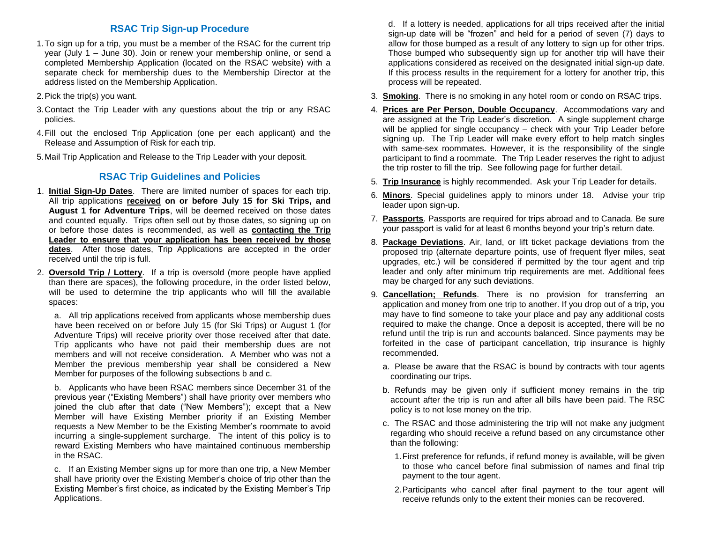## **RSAC Trip Sign-up Procedure**

- 1.To sign up for a trip, you must be a member of the RSAC for the current trip year (July 1 – June 30). Join or renew your membership online, or send a completed Membership Application (located on the RSAC website) with a separate check for membership dues to the Membership Director at the address listed on the Membership Application.
- 2.Pick the trip(s) you want.
- 3.Contact the Trip Leader with any questions about the trip or any RSAC policies.
- 4.Fill out the enclosed Trip Application (one per each applicant) and the Release and Assumption of Risk for each trip.
- 5.Mail Trip Application and Release to the Trip Leader with your deposit.

### **RSAC Trip Guidelines and Policies**

- 1. **Initial Sign-Up Dates**. There are limited number of spaces for each trip. All trip applications **received on or before July 15 for Ski Trips, and August 1 for Adventure Trips**, will be deemed received on those dates and counted equally. Trips often sell out by those dates, so signing up on or before those dates is recommended, as well as **contacting the Trip Leader to ensure that your application has been received by those dates**. After those dates, Trip Applications are accepted in the order received until the trip is full.
- 2. **Oversold Trip / Lottery**. If a trip is oversold (more people have applied than there are spaces), the following procedure, in the order listed below, will be used to determine the trip applicants who will fill the available spaces:

a. All trip applications received from applicants whose membership dues have been received on or before July 15 (for Ski Trips) or August 1 (for Adventure Trips) will receive priority over those received after that date. Trip applicants who have not paid their membership dues are not members and will not receive consideration. A Member who was not a Member the previous membership year shall be considered a New Member for purposes of the following subsections b and c.

b. Applicants who have been RSAC members since December 31 of the previous year ("Existing Members") shall have priority over members who joined the club after that date ("New Members"); except that a New Member will have Existing Member priority if an Existing Member requests a New Member to be the Existing Member's roommate to avoid incurring a single-supplement surcharge. The intent of this policy is to reward Existing Members who have maintained continuous membership in the RSAC.

c. If an Existing Member signs up for more than one trip, a New Member shall have priority over the Existing Member's choice of trip other than the Existing Member's first choice, as indicated by the Existing Member's Trip Applications.

d. If a lottery is needed, applications for all trips received after the initial sign-up date will be "frozen" and held for a period of seven (7) days to allow for those bumped as a result of any lottery to sign up for other trips. Those bumped who subsequently sign up for another trip will have their applications considered as received on the designated initial sign-up date. If this process results in the requirement for a lottery for another trip, this process will be repeated.

- 3. **Smoking**. There is no smoking in any hotel room or condo on RSAC trips.
- 4. **Prices are Per Person, Double Occupancy**. Accommodations vary and are assigned at the Trip Leader's discretion. A single supplement charge will be applied for single occupancy – check with your Trip Leader before signing up. The Trip Leader will make every effort to help match singles with same-sex roommates. However, it is the responsibility of the single participant to find a roommate. The Trip Leader reserves the right to adjust the trip roster to fill the trip. See following page for further detail.
- 5. **Trip Insurance** is highly recommended. Ask your Trip Leader for details.
- 6. **Minors**. Special guidelines apply to minors under 18. Advise your trip leader upon sign-up.
- 7. **Passports**. Passports are required for trips abroad and to Canada. Be sure your passport is valid for at least 6 months beyond your trip's return date.
- 8. **Package Deviations**. Air, land, or lift ticket package deviations from the proposed trip (alternate departure points, use of frequent flyer miles, seat upgrades, etc.) will be considered if permitted by the tour agent and trip leader and only after minimum trip requirements are met. Additional fees may be charged for any such deviations.
- 9. **Cancellation; Refunds**. There is no provision for transferring an application and money from one trip to another. If you drop out of a trip, you may have to find someone to take your place and pay any additional costs required to make the change. Once a deposit is accepted, there will be no refund until the trip is run and accounts balanced. Since payments may be forfeited in the case of participant cancellation, trip insurance is highly recommended.
	- a. Please be aware that the RSAC is bound by contracts with tour agents coordinating our trips.
	- b. Refunds may be given only if sufficient money remains in the trip account after the trip is run and after all bills have been paid. The RSC policy is to not lose money on the trip.
	- c. The RSAC and those administering the trip will not make any judgment regarding who should receive a refund based on any circumstance other than the following:
		- 1.First preference for refunds, if refund money is available, will be given to those who cancel before final submission of names and final trip payment to the tour agent.
		- 2.Participants who cancel after final payment to the tour agent will receive refunds only to the extent their monies can be recovered.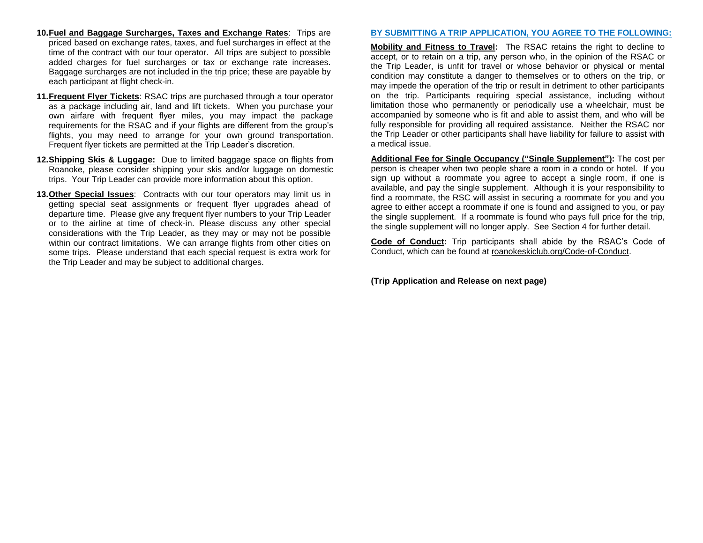- **10.Fuel and Baggage Surcharges, Taxes and Exchange Rates**: Trips are priced based on exchange rates, taxes, and fuel surcharges in effect at the time of the contract with our tour operator. All trips are subject to possible added charges for fuel surcharges or tax or exchange rate increases. Baggage surcharges are not included in the trip price; these are payable by each participant at flight check-in.
- **11.Frequent Flyer Tickets**: RSAC trips are purchased through a tour operator as a package including air, land and lift tickets. When you purchase your own airfare with frequent flyer miles, you may impact the package requirements for the RSAC and if your flights are different from the group's flights, you may need to arrange for your own ground transportation. Frequent flyer tickets are permitted at the Trip Leader's discretion.
- **12.Shipping Skis & Luggage:** Due to limited baggage space on flights from Roanoke, please consider shipping your skis and/or luggage on domestic trips. Your Trip Leader can provide more information about this option.
- **13.Other Special Issues**: Contracts with our tour operators may limit us in getting special seat assignments or frequent flyer upgrades ahead of departure time. Please give any frequent flyer numbers to your Trip Leader or to the airline at time of check-in. Please discuss any other special considerations with the Trip Leader, as they may or may not be possible within our contract limitations. We can arrange flights from other cities on some trips. Please understand that each special request is extra work for the Trip Leader and may be subject to additional charges.

#### **BY SUBMITTING A TRIP APPLICATION, YOU AGREE TO THE FOLLOWING:**

**Mobility and Fitness to Travel:** The RSAC retains the right to decline to accept, or to retain on a trip, any person who, in the opinion of the RSAC or the Trip Leader, is unfit for travel or whose behavior or physical or mental condition may constitute a danger to themselves or to others on the trip, or may impede the operation of the trip or result in detriment to other participants on the trip. Participants requiring special assistance, including without limitation those who permanently or periodically use a wheelchair, must be accompanied by someone who is fit and able to assist them, and who will be fully responsible for providing all required assistance. Neither the RSAC nor the Trip Leader or other participants shall have liability for failure to assist with a medical issue.

**Additional Fee for Single Occupancy ("Single Supplement"):** The cost per person is cheaper when two people share a room in a condo or hotel. If you sign up without a roommate you agree to accept a single room, if one is available, and pay the single supplement. Although it is your responsibility to find a roommate, the RSC will assist in securing a roommate for you and you agree to either accept a roommate if one is found and assigned to you, or pay the single supplement. If a roommate is found who pays full price for the trip, the single supplement will no longer apply. See Section 4 for further detail.

**Code of Conduct:** Trip participants shall abide by the RSAC's Code of Conduct, which can be found at roanokeskiclub.org/Code-of-Conduct.

**(Trip Application and Release on next page)**